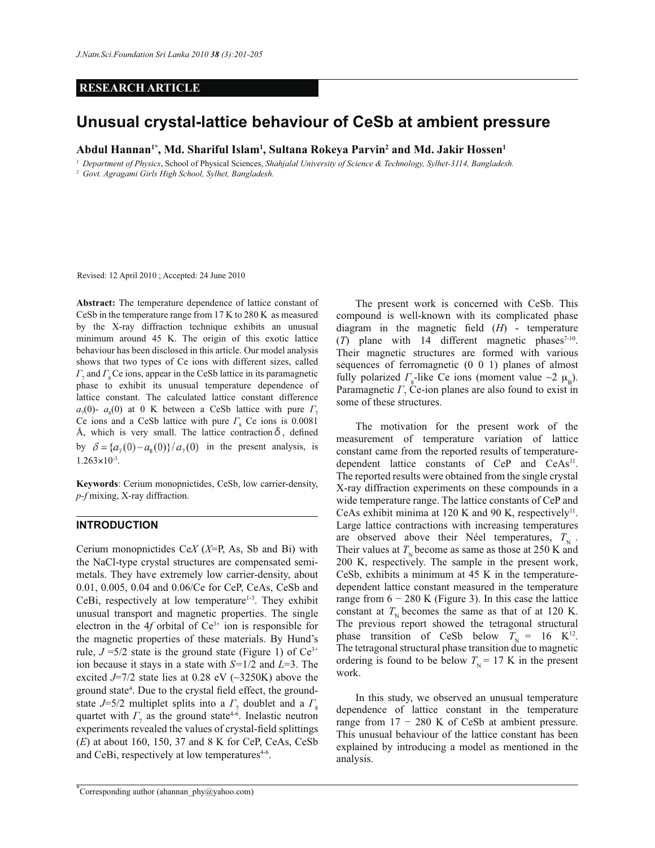# **RESEARCH ARTICLE**

# **Unusual crystal-lattice behaviour of CeSb at ambient pressure**

**Abdul Hannan1\*, Md. Shariful Islam<sup>1</sup> , Sultana Rokeya Parvin<sup>2</sup> and Md. Jakir Hossen<sup>1</sup>**

*<sup>1</sup>Department of Physics*, School of Physical Sciences, *Shahjalal University of Science & Technology, Sylhet-3114, Bangladesh. <sup>2</sup>Govt. Agragami Girls High School, Sylhet, Bangladesh.* 

Revised: 12 April 2010 ; Accepted: 24 June 2010

**Abstract:** The temperature dependence of lattice constant of CeSb in the temperature range from 17 K to 280 K as measured by the X-ray diffraction technique exhibits an unusual minimum around 45 K. The origin of this exotic lattice behaviour has been disclosed in this article. Our model analysis shows that two types of Ce ions with different sizes, called *Γ*<sub>7</sub> and *Γ*<sub>8</sub> Ce ions, appear in the CeSb lattice in its paramagnetic phase to exhibit its unusual temperature dependence of lattice constant. The calculated lattice constant difference  $a_7(0)$ -  $a_8(0)$  at 0 K between a CeSb lattice with pure  $\Gamma_7$ Ce ions and a CeSb lattice with pure  $\Gamma_{\rm g}$  Ce ions is 0.0081 Å, which is very small. The lattice contraction  $\delta$ , defined by  $\delta = \{a_7(0) - a_8(0)\}/a_7(0)$  in the present analysis, is  $1.263 \times 10^{-3}$ .

**Keywords**: Cerium monopnictides, CeSb, low carrier-density, *p-f* mixing, X-ray diffraction.

# **INTRODUCTION**

Cerium monopnictides Ce*X* (*X*=P, As, Sb and Bi) with the NaCl-type crystal structures are compensated semimetals. They have extremely low carrier-density, about 0.01, 0.005, 0.04 and 0.06/Ce for CeP, CeAs, CeSb and CeBi, respectively at low temperature<sup>1-3</sup>. They exhibit unusual transport and magnetic properties. The single electron in the 4 $f$  orbital of  $Ce^{3+}$  ion is responsible for the magnetic properties of these materials. By Hund's rule,  $J = 5/2$  state is the ground state (Figure 1) of  $Ce^{3+}$ ion because it stays in a state with *S=*1/2 and *L*=3. The excited  $J=7/2$  state lies at 0.28 eV ( $\sim$ 3250K) above the ground state<sup>4</sup>. Due to the crystal field effect, the groundstate  $J=5/2$  multiplet splits into a  $\Gamma$ <sub>7</sub> doublet and a  $\Gamma$ <sub>8</sub> quartet with  $\Gamma$ <sub>7</sub> as the ground state<sup>4-6</sup>. Inelastic neutron experiments revealed the values of crystal-field splittings (*E*) at about 160, 150, 37 and 8 K for CeP, CeAs, CeSb and CeBi, respectively at low temperatures<sup>4-6</sup>.

 The present work is concerned with CeSb. This compound is well-known with its complicated phase diagram in the magnetic field (*H*) - temperature  $(T)$  plane with 14 different magnetic phases<sup>7-10</sup>. Their magnetic structures are formed with various sequences of ferromagnetic (0 0 1) planes of almost fully polarized  $\Gamma_{\rm s}$ -like Ce ions (moment value ~2  $\mu_{\rm B}$ ). Paramagnetic *Γ*<sub>7</sub> Ce-ion planes are also found to exist in some of these structures.

 The motivation for the present work of the measurement of temperature variation of lattice constant came from the reported results of temperaturedependent lattice constants of  $CeP$  and  $CeAs<sup>11</sup>$ . The reported results were obtained from the single crystal X-ray diffraction experiments on these compounds in a wide temperature range. The lattice constants of CeP and CeAs exhibit minima at 120 K and 90 K, respectively<sup>11</sup>. Large lattice contractions with increasing temperatures are observed above their Néel temperatures,  $T_{\rm N}$ . Their values at  $T_{\rm N}$  become as same as those at 250 K and 200 K, respectively. The sample in the present work, CeSb, exhibits a minimum at 45 K in the temperaturedependent lattice constant measured in the temperature range from  $6 - 280$  K (Figure 3). In this case the lattice constant at  $T<sub>N</sub>$  becomes the same as that of at 120 K. The previous report showed the tetragonal structural phase transition of CeSb below  $T<sub>N</sub> = 16$  K<sup>12</sup>. The tetragonal structural phase transition due to magnetic ordering is found to be below  $T<sub>N</sub> = 17$  K in the present work.

 In this study, we observed an unusual temperature dependence of lattice constant in the temperature range from  $17 - 280$  K of CeSb at ambient pressure. This unusual behaviour of the lattice constant has been explained by introducing a model as mentioned in the analysis.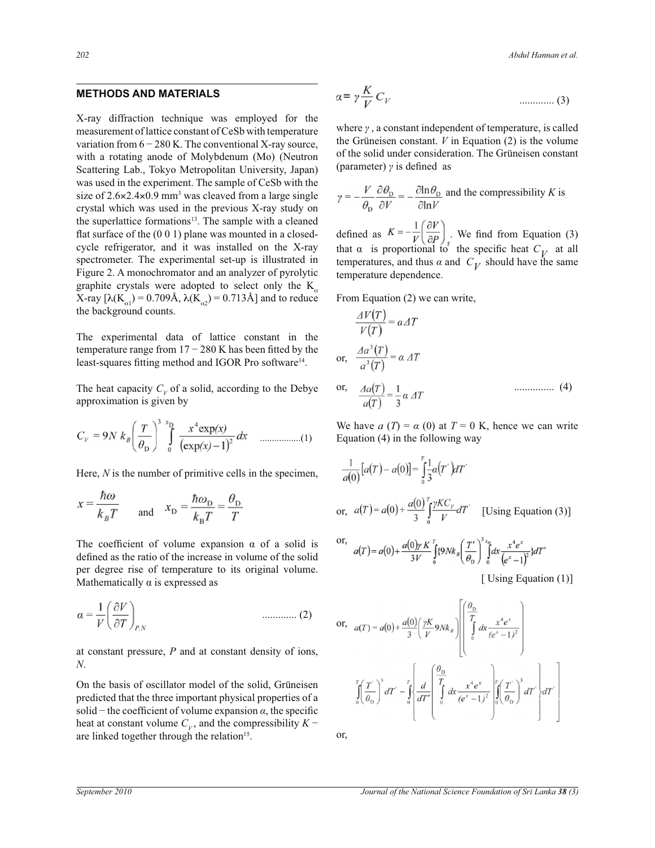## **METHODS AND MATERIALS**

X-ray diffraction technique was employed for the measurement of lattice constant of CeSb with temperature variation from  $6 - 280$  K. The conventional X-ray source, with a rotating anode of Molybdenum (Mo) (Neutron Scattering Lab., Tokyo Metropolitan University, Japan) was used in the experiment. The sample of CeSb with the size of  $2.6 \times 2.4 \times 0.9$  mm<sup>3</sup> was cleaved from a large single crystal which was used in the previous X-ray study on the superlattice formations<sup>13</sup>. The sample with a cleaned flat surface of the (0 0 1) plane was mounted in a closedcycle refrigerator, and it was installed on the X-ray spectrometer. The experimental set-up is illustrated in Figure 2. A monochromator and an analyzer of pyrolytic graphite crystals were adopted to select only the  $K_a$ X-ray [λ(K<sub>α1</sub>) = 0.709Å, λ(K<sub>α2</sub>) = 0.713Å] and to reduce the background counts.

The experimental data of lattice constant in the temperature range from  $17 - 280$  K has been fitted by the least-squares fitting method and IGOR Pro software<sup>14</sup>.

The heat capacity  $C_V$  of a solid, according to the Debye approximation is given by

$$
C_V = 9N k_B \left(\frac{T}{\theta_D}\right)^3 \int_0^{x_D} \frac{x^4 \exp(x)}{(\exp(x) - 1)^2} dx
$$
 ....... (1)

Here, *N* is the number of primitive cells in the specimen,

$$
x = \frac{\hbar \omega}{k_B T}
$$
 and  $x_D = \frac{\hbar \omega_D}{k_B T} = \frac{\theta_D}{T}$ 

The coefficient of volume expansion  $\alpha$  of a solid is defined as the ratio of the increase in volume of the solid per degree rise of temperature to its original volume. Mathematically  $\alpha$  is expressed as

$$
\alpha = \frac{1}{V} \left( \frac{\partial V}{\partial T} \right)_{P,N}
$$
 .........(2)

at constant pressure, *P* and at constant density of ions, *N*.

On the basis of oscillator model of the solid, Grüneisen predicted that the three important physical properties of a solid – the coefficient of volume expansion  $\alpha$ , the specific heat at constant volume  $C_V$ , and the compressibility  $K$ are linked together through the relation<sup>15</sup>.

$$
\alpha = \gamma \frac{K}{V} C_V \tag{3}
$$

where *γ* , a constant independent of temperature, is called the Grüneisen constant.  $V$  in Equation (2) is the volume of the solid under consideration. The Grüneisen constant (parameter) *γ* is defined as

$$
\gamma = -\frac{V}{\theta_{\text{D}}} \frac{\partial \theta_{\text{D}}}{\partial V} = -\frac{\partial \ln \theta_{\text{D}}}{\partial \ln V}
$$
 and the compressibility K is

defined as  $K = -\frac{1}{V} \left| \frac{1}{\Delta P} \right|$ . We find from Equation (3) that  $\alpha$  is proportional to the specific heat  $C_V$  at all temperatures, and thus  $\alpha$  and  $C_V$  should have the same temperature dependence.

From Equation (2) we can write,

 $-1$ 

$$
\frac{\Delta V(T)}{V(T)} = \alpha \Delta T
$$
  
or, 
$$
\frac{\Delta a^3(T)}{a^3(T)} = \alpha \Delta T
$$
  
or, 
$$
\frac{\Delta a(T)}{a(T)} = \frac{1}{3} \alpha \Delta T
$$
 (4)

We have  $a(T) = \alpha(0)$  at  $T = 0$  K, hence we can write Equation (4) in the following way

$$
\frac{1}{a(0)}[a(T) - a(0)] = \int_{0}^{T} \frac{1}{3}a(T')dT'
$$
\nor,  $a(T) = a(0) + \frac{a(0)}{3} \int_{0}^{T} \frac{\gamma KC_{\gamma}}{V} dT'$  [Using Equation (3)]

or, 
$$
a(T) = a(0) + \frac{a(0)\gamma K}{3V} \int_{0}^{T} \{9Nk_{B} \left(\frac{T'}{\theta_{D}}\right)^{3} \int_{0}^{x_{D}} dx \frac{x^{4}e^{x}}{(e^{x}-1)^{2}}\} dT'
$$

[ Using Equation (1)]

$$
\text{or, } \quad a(T) = a(0) + \frac{a(0)}{3} \left( \frac{\gamma K}{V} 9Nk_B \right) \left( \int_0^T \frac{x^4 e^x}{(e^x - 1)^2} \right)
$$
\n
$$
\int_0^T \left( \frac{T'}{\theta_D} \right)^3 dT' - \int_0^T \left( \frac{d}{dT'} \left( \int_0^T \frac{x^4 e^x}{(e^x - 1)^2} \right)^2 \left( \int_0^T \left( \frac{T'}{\theta_D} \right)^3 dT' \right) dT' \right)
$$

or,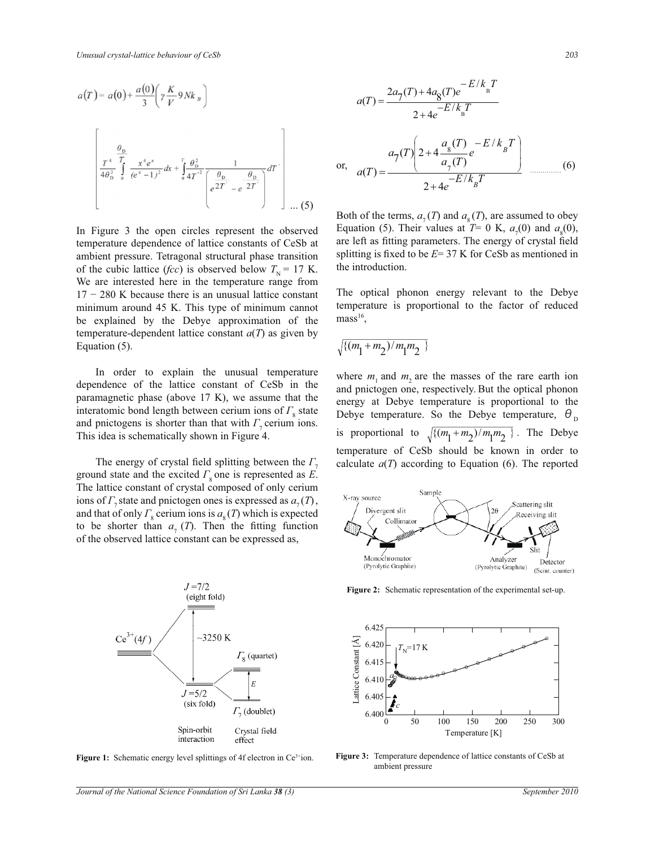$$
a(T) = a(0) + \frac{a(0)}{3} \left( \gamma \frac{K}{V} 9 N k_B \right)
$$
  

$$
\left[ \frac{\frac{\theta_0}{T^4} \frac{T}{\theta_0^3} \int_0^{x^4 e^x} \frac{x^4 e^x}{(e^x - 1)^2} dx + \int_0^T \frac{\theta_0^2}{4T^2} \frac{1}{\left( e^{\frac{\theta_0}{2T^2}} - e^{-\frac{\theta_0}{2T^2}} \right)} dT' \right]
$$
...(5)

In Figure 3 the open circles represent the observed temperature dependence of lattice constants of CeSb at ambient pressure. Tetragonal structural phase transition of the cubic lattice (*fcc*) is observed below  $T<sub>N</sub> = 17$  K. We are interested here in the temperature range from 17 − 280 K because there is an unusual lattice constant minimum around 45 K. This type of minimum cannot be explained by the Debye approximation of the temperature-dependent lattice constant  $a(T)$  as given by Equation (5).

 In order to explain the unusual temperature dependence of the lattice constant of CeSb in the paramagnetic phase (above 17 K), we assume that the interatomic bond length between cerium ions of  $\Gamma_{8}$  state and pnictogens is shorter than that with  $\Gamma$ <sub>7</sub> cerium ions. This idea is schematically shown in Figure 4.

The energy of crystal field splitting between the  $\Gamma$ , ground state and the excited  $\Gamma_{8}$  one is represented as *E*. The lattice constant of crystal composed of only cerium ions of  $\Gamma$ <sub>7</sub> state and pnictogen ones is expressed as  $a_7(T)$ , and that of only  $\Gamma_{\rm s}$  cerium ions is  $a_{\rm s}(T)$  which is expected to be shorter than  $a_r(T)$ . Then the fitting function of the observed lattice constant can be expressed as,



**Figure 1:** Schematic energy level splittings of 4f electron in Ce<sup>3+</sup>ion.

$$
a(T) = \frac{2a_{7}(T) + 4a_{8}(T)e^{-E/k_{B}T}}{2 + 4e^{-E/k_{B}T}}
$$
  
or, 
$$
a(T) = \frac{a_{7}(T)\left(2 + 4\frac{a_{8}(T)}{a_{7}(T)}e^{-E/k_{B}T}\right)}{2 + 4e^{-E/k_{B}T}}
$$
 (6)

Both of the terms,  $a_7(T)$  and  $a_8(T)$ , are assumed to obey Equation (5). Their values at  $T=0$  K,  $a_7(0)$  and  $a_8(0)$ , are left as fitting parameters. The energy of crystal field splitting is fixed to be *E*= 37 K for CeSb as mentioned in the introduction.

The optical phonon energy relevant to the Debye temperature is proportional to the factor of reduced  $mass<sup>16</sup>$ ,

$$
\sqrt{\{(m_1+m_2)/m_1m_2\}}
$$

where  $m_1$  and  $m_2$  are the masses of the rare earth ion and pnictogen one, respectively. But the optical phonon energy at Debye temperature is proportional to the Debye temperature. So the Debye temperature,  $\theta_{\text{D}}$ is proportional to  $\sqrt{\{(m_1+m_2)/m_1m_2\}}$ . The Debye temperature of CeSb should be known in order to calculate  $a(T)$  according to Equation (6). The reported



**Figure 2:** Schematic representation of the experimental set-up.



**Figure 3:** Temperature dependence of lattice constants of CeSb at ambient pressure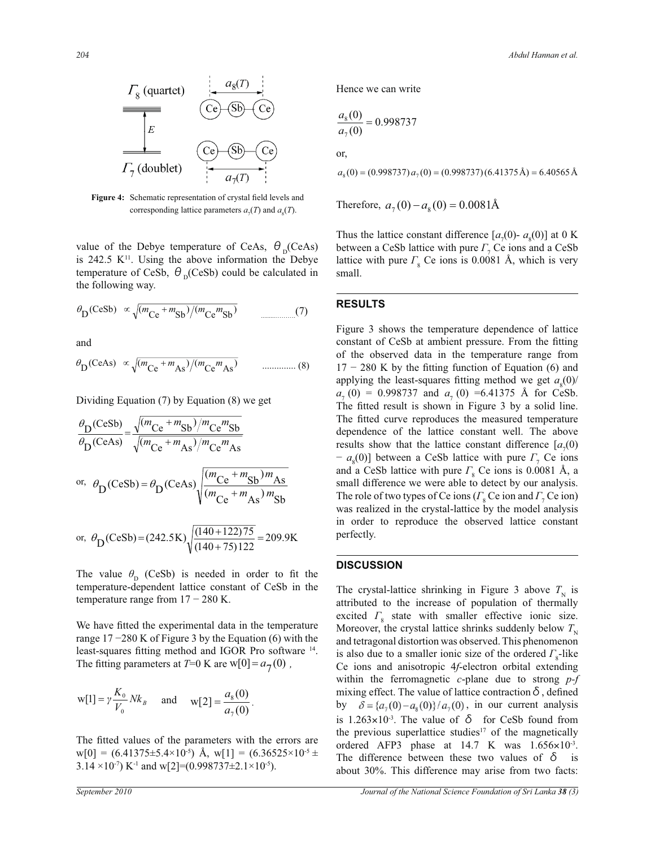

**Figure 4:** Schematic representation of crystal field levels and corresponding lattice parameters  $a_7(T)$  and  $a_8(T)$ .

value of the Debye temperature of CeAs,  $\theta_{\text{D}}$ (CeAs) is  $242.5$  K<sup>11</sup>. Using the above information the Debye temperature of CeSb,  $\theta_{\text{D}}$ (CeSb) could be calculated in the following way.

$$
\theta_{\text{D}}(\text{CeSb}) \propto \sqrt{(m_{\text{Ce}} + m_{\text{Sb}})/(m_{\text{Ce}}m_{\text{Sb}})}
$$
(7)

and

$$
\theta_{\text{D}}(\text{CeAs}) \propto \sqrt{(m_{\text{Ce}} + m_{\text{As}})/(m_{\text{Ce}}m_{\text{As}})}
$$
 ....... (8)

Dividing Equation (7) by Equation (8) we get

$$
\frac{\theta_{\text{D}}(\text{CeSb})}{\theta_{\text{D}}(\text{CeAs})} = \frac{\sqrt{(m_{\text{Ce}} + m_{\text{Sb}})/m_{\text{Ce}}m_{\text{Sb}}}}{\sqrt{(m_{\text{Ce}} + m_{\text{As}})/m_{\text{Ce}}m_{\text{As}}}}
$$
\nor,\n
$$
\theta_{\text{D}}(\text{CeSb}) = \theta_{\text{D}}(\text{CeAs}) \sqrt{\frac{(m_{\text{Ce}} + m_{\text{Sb}})m_{\text{As}}}{(m_{\text{Ce}} + m_{\text{As}})m_{\text{Sb}}}}
$$
\nor,\n
$$
\theta_{\text{D}}(\text{CeSb}) = (242.5 \text{K}) \sqrt{\frac{(140 + 122)75}{(140 + 75)122}} = 209.9 \text{K}
$$

The value  $\theta_{\rm p}$  (CeSb) is needed in order to fit the temperature-dependent lattice constant of CeSb in the temperature range from  $17 - 280$  K.

The fitting parameters at  $T=0$  K are  $w[0] = a_7(0)$ , We have fitted the experimental data in the temperature range  $17 - 280$  K of Figure 3 by the Equation (6) with the least-squares fitting method and IGOR Pro software <sup>14</sup>.

$$
w[1] = \gamma \frac{K_0}{V_0} N k_B
$$
 and  $w[2] = \frac{a_8(0)}{a_7(0)}$ .

The fitted values of the parameters with the errors are  $w[0] = (6.41375 \pm 5.4 \times 10^{-5})$  Å,  $w[1] = (6.36525 \times 10^{-5} \pm 1.0 \times 10^{-5})$ 3.14 ×10<sup>-7</sup>) K<sup>-1</sup> and w[2]=(0.998737±2.1×10<sup>-5</sup>).

Hence we can write

$$
\frac{a_8(0)}{a_7(0)} = 0.998737
$$
  
or,

 $a_8(0) = (0.998737) a_7(0) = (0.998737)(6.41375\text{\AA}) = 6.40565\text{\AA}$ 

Therefore,  $a_7(0) - a_8(0) = 0.0081\text{\AA}$ 

Thus the lattice constant difference  $[a_7(0) - a_8(0)]$  at 0 K between a CeSb lattice with pure *Γ*<sub>7</sub> Ce ions and a CeSb lattice with pure  $\Gamma_{\rm s}$  Ce ions is 0.0081 Å, which is very small.

#### **RESULTS**

Figure 3 shows the temperature dependence of lattice constant of CeSb at ambient pressure. From the fitting of the observed data in the temperature range from  $17 - 280$  K by the fitting function of Equation (6) and applying the least-squares fitting method we get  $a_8(0)$ /  $a_7(0) = 0.998737$  and  $a_7(0) = 6.41375$  Å for CeSb. The fitted result is shown in Figure 3 by a solid line. The fitted curve reproduces the measured temperature dependence of the lattice constant well. The above results show that the lattice constant difference  $[a_7(0)]$ − *a*<sub>8</sub>(0)] between a CeSb lattice with pure *Γ*<sub>7</sub> Ce ions and a CeSb lattice with pure *Γ*<sub>8</sub> Ce ions is 0.0081 Å, a small difference we were able to detect by our analysis. The role of two types of Ce ions (*Γ*<sub>8</sub> Ce ion and *Γ*<sub>7</sub> Ce ion) was realized in the crystal-lattice by the model analysis in order to reproduce the observed lattice constant perfectly.

## **DISCUSSION**

The crystal-lattice shrinking in Figure 3 above  $T<sub>N</sub>$  is attributed to the increase of population of thermally excited  $\Gamma_{8}$  state with smaller effective ionic size. Moreover, the crystal lattice shrinks suddenly below  $T<sub>N</sub>$ and tetragonal distortion was observed. This phenomenon is also due to a smaller ionic size of the ordered  $\Gamma_{8}$ -like Ce ions and anisotropic 4*f*-electron orbital extending within the ferromagnetic *c*-plane due to strong *p-f* mixing effect. The value of lattice contraction  $\delta$ , defined by  $\delta = \{a_7(0) - a_8(0)\} / a_7(0)$ , in our current analysis is  $1.263 \times 10^{-3}$ . The value of  $\delta$  for CeSb found from the previous superlattice studies<sup>17</sup> of the magnetically ordered AFP3 phase at  $14.7$  K was  $1.656 \times 10^{-3}$ . The difference between these two values of  $\delta$  is about 30%. This difference may arise from two facts: